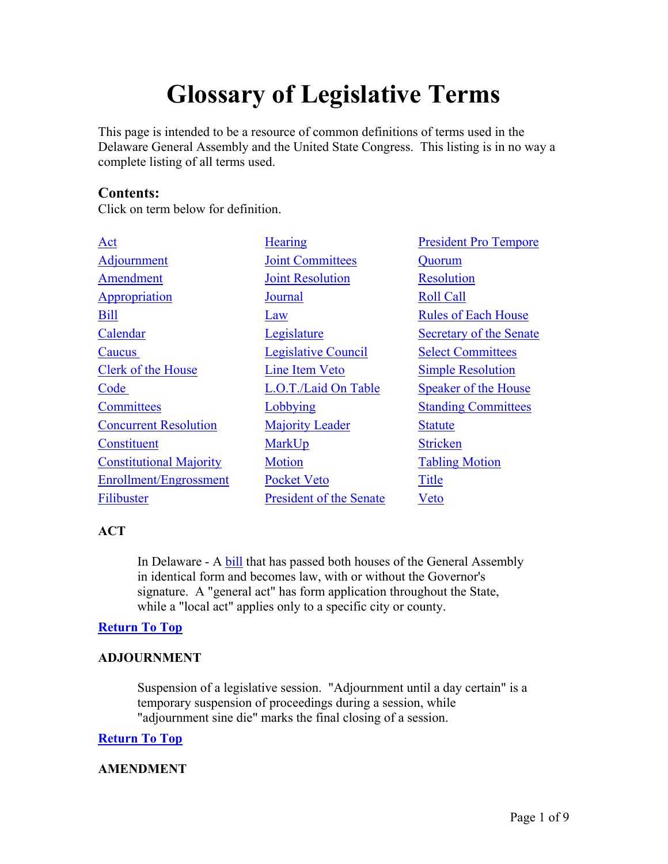# **Glossary of Legislative Terms**

This page is intended to be a resource of common definitions of terms used in the Delaware General Assembly and the United State Congress. This listing is in no way a complete listing of all terms used.

# **Contents:**

Click on term below for definition.

| <b>Hearing</b>                 | <b>President Pro Tempore</b> |
|--------------------------------|------------------------------|
| <b>Joint Committees</b>        | Quorum                       |
| <b>Joint Resolution</b>        | <b>Resolution</b>            |
| Journal                        | <b>Roll Call</b>             |
| Law                            | <b>Rules of Each House</b>   |
| Legislature                    | Secretary of the Senate      |
| Legislative Council            | <b>Select Committees</b>     |
| Line Item Veto                 | <b>Simple Resolution</b>     |
| L.O.T./Laid On Table           | <b>Speaker of the House</b>  |
| Lobbying                       | <b>Standing Committees</b>   |
| <b>Majority Leader</b>         | <b>Statute</b>               |
| MarkUp                         | <b>Stricken</b>              |
| <b>Motion</b>                  | <b>Tabling Motion</b>        |
| <b>Pocket Veto</b>             | <b>Title</b>                 |
| <b>President of the Senate</b> | Veto                         |
|                                |                              |

# **ACT**

In Delaware - A **bill** that has passed both houses of the General Assembly in identical form and becomes law, with or without the Governor's signature. A "general act" has form application throughout the State, while a "local act" applies only to a specific city or county.

# **Return To Top**

# **ADJOURNMENT**

Suspension of a legislative session. "Adjournment until a day certain" is a temporary suspension of proceedings during a session, while "adjournment sine die" marks the final closing of a session.

# **Return To Top**

# **AMENDMENT**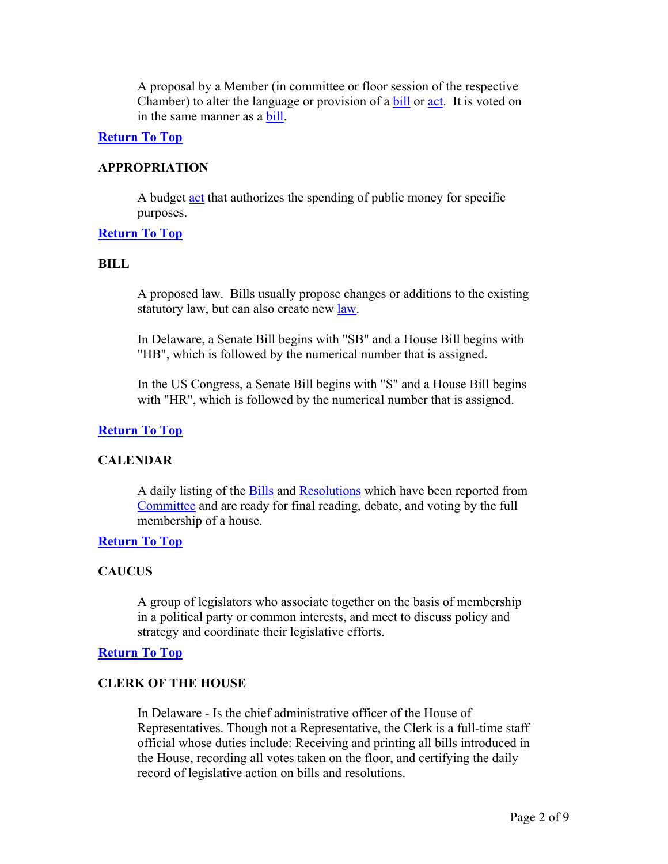A proposal by a Member (in committee or floor session of the respective Chamber) to alter the language or provision of a bill or act. It is voted on in the same manner as a bill.

## **Return To Top**

## **APPROPRIATION**

A budget act that authorizes the spending of public money for specific purposes.

## **Return To Top**

#### **BILL**

A proposed law. Bills usually propose changes or additions to the existing statutory law, but can also create new law.

In Delaware, a Senate Bill begins with "SB" and a House Bill begins with "HB", which is followed by the numerical number that is assigned.

In the US Congress, a Senate Bill begins with "S" and a House Bill begins with "HR", which is followed by the numerical number that is assigned.

## **Return To Top**

# **CALENDAR**

A daily listing of the **Bills** and **Resolutions** which have been reported from Committee and are ready for final reading, debate, and voting by the full membership of a house.

#### **Return To Top**

# **CAUCUS**

A group of legislators who associate together on the basis of membership in a political party or common interests, and meet to discuss policy and strategy and coordinate their legislative efforts.

#### **Return To Top**

#### **CLERK OF THE HOUSE**

In Delaware - Is the chief administrative officer of the House of Representatives. Though not a Representative, the Clerk is a full-time staff official whose duties include: Receiving and printing all bills introduced in the House, recording all votes taken on the floor, and certifying the daily record of legislative action on bills and resolutions.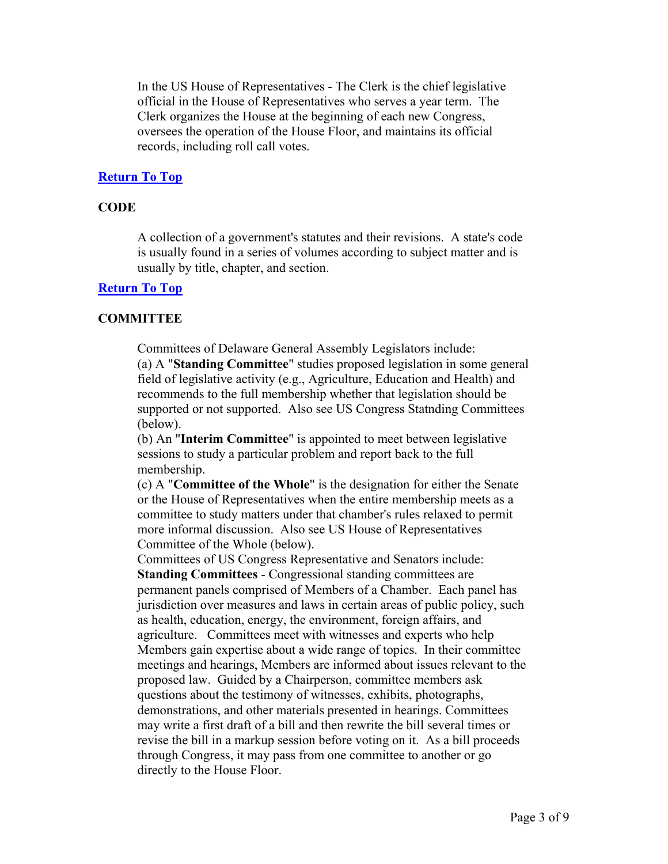In the US House of Representatives - The Clerk is the chief legislative official in the House of Representatives who serves a year term. The Clerk organizes the House at the beginning of each new Congress, oversees the operation of the House Floor, and maintains its official records, including roll call votes.

# **Return To Top**

# **CODE**

A collection of a government's statutes and their revisions. A state's code is usually found in a series of volumes according to subject matter and is usually by title, chapter, and section.

# **Return To Top**

# **COMMITTEE**

Committees of Delaware General Assembly Legislators include:

(a) A "**Standing Committee**" studies proposed legislation in some general field of legislative activity (e.g., Agriculture, Education and Health) and recommends to the full membership whether that legislation should be supported or not supported. Also see US Congress Statnding Committees (below).

(b) An "**Interim Committee**" is appointed to meet between legislative sessions to study a particular problem and report back to the full membership.

(c) A "**Committee of the Whole**" is the designation for either the Senate or the House of Representatives when the entire membership meets as a committee to study matters under that chamber's rules relaxed to permit more informal discussion. Also see US House of Representatives Committee of the Whole (below).

Committees of US Congress Representative and Senators include: **Standing Committees** - Congressional standing committees are permanent panels comprised of Members of a Chamber. Each panel has jurisdiction over measures and laws in certain areas of public policy, such as health, education, energy, the environment, foreign affairs, and agriculture. Committees meet with witnesses and experts who help Members gain expertise about a wide range of topics. In their committee meetings and hearings, Members are informed about issues relevant to the proposed law. Guided by a Chairperson, committee members ask questions about the testimony of witnesses, exhibits, photographs, demonstrations, and other materials presented in hearings. Committees may write a first draft of a bill and then rewrite the bill several times or revise the bill in a markup session before voting on it. As a bill proceeds through Congress, it may pass from one committee to another or go directly to the House Floor.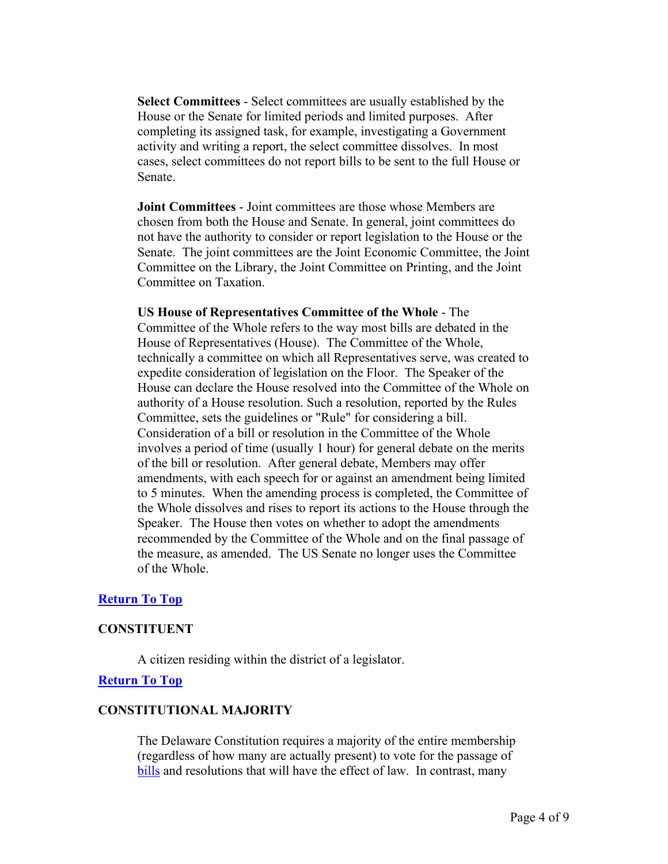**Select Committees** - Select committees are usually established by the House or the Senate for limited periods and limited purposes. After completing its assigned task, for example, investigating a Government activity and writing a report, the select committee dissolves. In most cases, select committees do not report bills to be sent to the full House or Senate.

**Joint Committees** - Joint committees are those whose Members are chosen from both the House and Senate. In general, joint committees do not have the authority to consider or report legislation to the House or the Senate. The joint committees are the Joint Economic Committee, the Joint Committee on the Library, the Joint Committee on Printing, and the Joint Committee on Taxation.

# **US House of Representatives Committee of the Whole** - The Committee of the Whole refers to the way most bills are debated in the House of Representatives (House). The Committee of the Whole, technically a committee on which all Representatives serve, was created to expedite consideration of legislation on the Floor. The Speaker of the House can declare the House resolved into the Committee of the Whole on authority of a House resolution. Such a resolution, reported by the Rules Committee, sets the guidelines or "Rule" for considering a bill. Consideration of a bill or resolution in the Committee of the Whole involves a period of time (usually 1 hour) for general debate on the merits of the bill or resolution. After general debate, Members may offer amendments, with each speech for or against an amendment being limited to 5 minutes. When the amending process is completed, the Committee of the Whole dissolves and rises to report its actions to the House through the Speaker. The House then votes on whether to adopt the amendments recommended by the Committee of the Whole and on the final passage of the measure, as amended. The US Senate no longer uses the Committee of the Whole.

# **Return To Top**

# **CONSTITUENT**

A citizen residing within the district of a legislator.

# **Return To Top**

# **CONSTITUTIONAL MAJORITY**

The Delaware Constitution requires a majority of the entire membership (regardless of how many are actually present) to vote for the passage of bills and resolutions that will have the effect of law. In contrast, many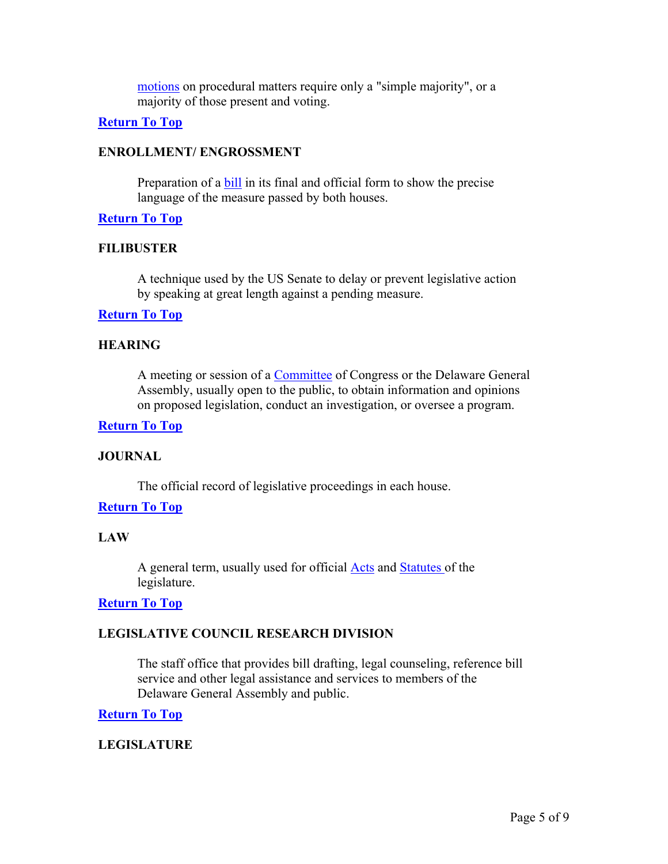motions on procedural matters require only a "simple majority", or a majority of those present and voting.

## **Return To Top**

## **ENROLLMENT/ ENGROSSMENT**

Preparation of a bill in its final and official form to show the precise language of the measure passed by both houses.

# **Return To Top**

## **FILIBUSTER**

A technique used by the US Senate to delay or prevent legislative action by speaking at great length against a pending measure.

## **Return To Top**

# **HEARING**

A meeting or session of a Committee of Congress or the Delaware General Assembly, usually open to the public, to obtain information and opinions on proposed legislation, conduct an investigation, or oversee a program.

# **Return To Top**

#### **JOURNAL**

The official record of legislative proceedings in each house.

# **Return To Top**

# **LAW**

A general term, usually used for official Acts and Statutes of the legislature.

#### **Return To Top**

# **LEGISLATIVE COUNCIL RESEARCH DIVISION**

The staff office that provides bill drafting, legal counseling, reference bill service and other legal assistance and services to members of the Delaware General Assembly and public.

# **Return To Top**

# **LEGISLATURE**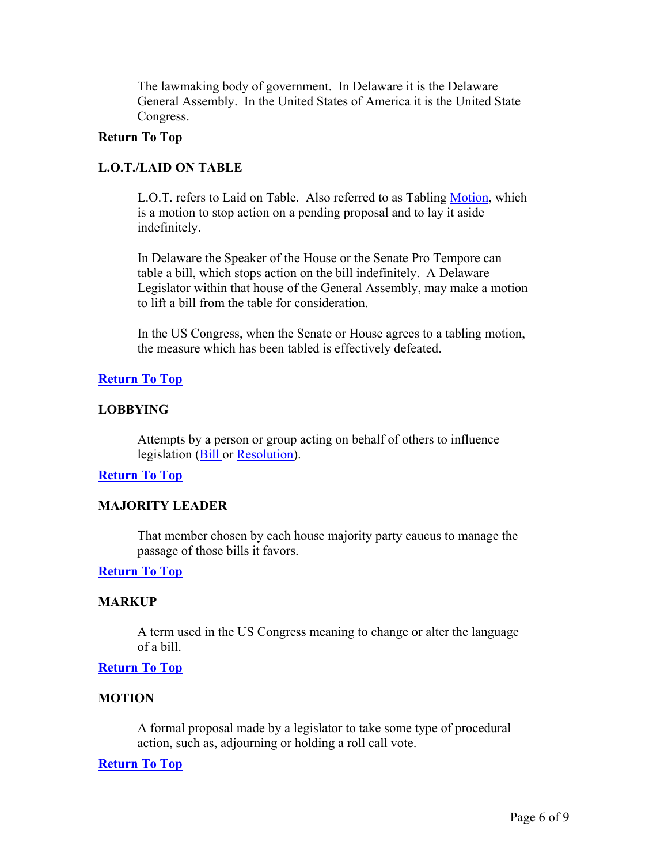The lawmaking body of government. In Delaware it is the Delaware General Assembly. In the United States of America it is the United State Congress.

## **Return To Top**

# **L.O.T./LAID ON TABLE**

L.O.T. refers to Laid on Table. Also referred to as Tabling Motion, which is a motion to stop action on a pending proposal and to lay it aside indefinitely.

In Delaware the Speaker of the House or the Senate Pro Tempore can table a bill, which stops action on the bill indefinitely. A Delaware Legislator within that house of the General Assembly, may make a motion to lift a bill from the table for consideration.

In the US Congress, when the Senate or House agrees to a tabling motion, the measure which has been tabled is effectively defeated.

# **Return To Top**

# **LOBBYING**

Attempts by a person or group acting on behalf of others to influence legislation (Bill or Resolution).

# **Return To Top**

# **MAJORITY LEADER**

That member chosen by each house majority party caucus to manage the passage of those bills it favors.

# **Return To Top**

# **MARKUP**

A term used in the US Congress meaning to change or alter the language of a bill.

#### **Return To Top**

# **MOTION**

A formal proposal made by a legislator to take some type of procedural action, such as, adjourning or holding a roll call vote.

#### **Return To Top**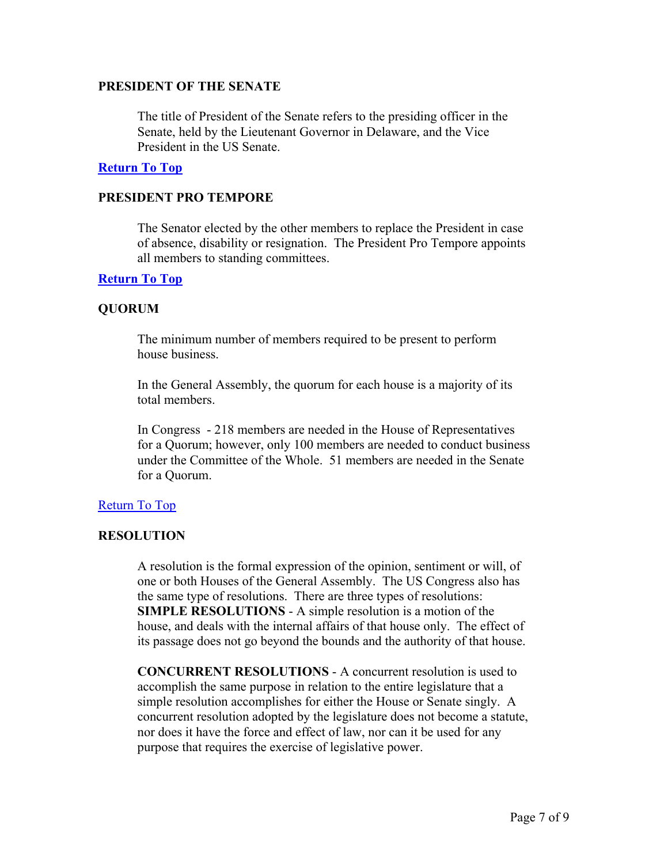## **PRESIDENT OF THE SENATE**

The title of President of the Senate refers to the presiding officer in the Senate, held by the Lieutenant Governor in Delaware, and the Vice President in the US Senate.

## **Return To Top**

# **PRESIDENT PRO TEMPORE**

The Senator elected by the other members to replace the President in case of absence, disability or resignation. The President Pro Tempore appoints all members to standing committees.

## **Return To Top**

# **QUORUM**

The minimum number of members required to be present to perform house business.

In the General Assembly, the quorum for each house is a majority of its total members.

In Congress - 218 members are needed in the House of Representatives for a Quorum; however, only 100 members are needed to conduct business under the Committee of the Whole. 51 members are needed in the Senate for a Quorum.

# Return To Top

# **RESOLUTION**

A resolution is the formal expression of the opinion, sentiment or will, of one or both Houses of the General Assembly. The US Congress also has the same type of resolutions. There are three types of resolutions: **SIMPLE RESOLUTIONS** - A simple resolution is a motion of the house, and deals with the internal affairs of that house only. The effect of its passage does not go beyond the bounds and the authority of that house.

**CONCURRENT RESOLUTIONS** - A concurrent resolution is used to accomplish the same purpose in relation to the entire legislature that a simple resolution accomplishes for either the House or Senate singly. A concurrent resolution adopted by the legislature does not become a statute, nor does it have the force and effect of law, nor can it be used for any purpose that requires the exercise of legislative power.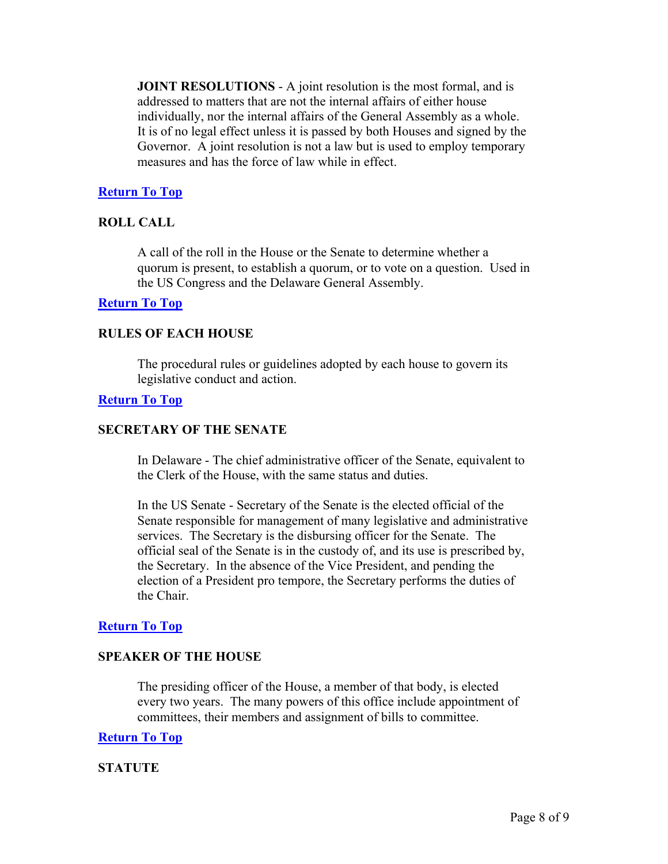**JOINT RESOLUTIONS** - A joint resolution is the most formal, and is addressed to matters that are not the internal affairs of either house individually, nor the internal affairs of the General Assembly as a whole. It is of no legal effect unless it is passed by both Houses and signed by the Governor. A joint resolution is not a law but is used to employ temporary measures and has the force of law while in effect.

# **Return To Top**

# **ROLL CALL**

A call of the roll in the House or the Senate to determine whether a quorum is present, to establish a quorum, or to vote on a question. Used in the US Congress and the Delaware General Assembly.

## **Return To Top**

## **RULES OF EACH HOUSE**

The procedural rules or guidelines adopted by each house to govern its legislative conduct and action.

#### **Return To Top**

## **SECRETARY OF THE SENATE**

In Delaware - The chief administrative officer of the Senate, equivalent to the Clerk of the House, with the same status and duties.

In the US Senate - Secretary of the Senate is the elected official of the Senate responsible for management of many legislative and administrative services. The Secretary is the disbursing officer for the Senate. The official seal of the Senate is in the custody of, and its use is prescribed by, the Secretary. In the absence of the Vice President, and pending the election of a President pro tempore, the Secretary performs the duties of the Chair.

#### **Return To Top**

## **SPEAKER OF THE HOUSE**

The presiding officer of the House, a member of that body, is elected every two years. The many powers of this office include appointment of committees, their members and assignment of bills to committee.

## **Return To Top**

# **STATUTE**